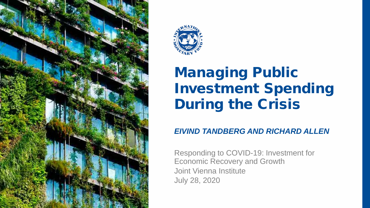



# Managing Public Investment Spending During the Crisis

#### *EIVIND TANDBERG AND RICHARD ALLEN*

Responding to COVID-19: Investment for Economic Recovery and Growth Joint Vienna Institute July 28, 2020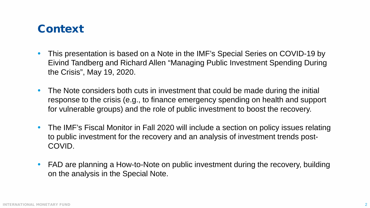## Context

- This presentation is based on a Note in the IMF's Special Series on COVID-19 by Eivind Tandberg and Richard Allen "Managing Public Investment Spending During the Crisis", May 19, 2020.
- The Note considers both cuts in investment that could be made during the initial response to the crisis (e.g., to finance emergency spending on health and support for vulnerable groups) and the role of public investment to boost the recovery.
- The IMF's Fiscal Monitor in Fall 2020 will include a section on policy issues relating to public investment for the recovery and an analysis of investment trends post-COVID.
- FAD are planning a How-to-Note on public investment during the recovery, building on the analysis in the Special Note.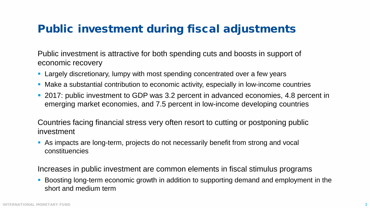## Public investment during fiscal adjustments

Public investment is attractive for both spending cuts and boosts in support of economic recovery

- **Largely discretionary, lumpy with most spending concentrated over a few years**
- Make a substantial contribution to economic activity, especially in low-income countries
- 2017: public investment to GDP was 3.2 percent in advanced economies, 4.8 percent in emerging market economies, and 7.5 percent in low-income developing countries

Countries facing financial stress very often resort to cutting or postponing public investment

 As impacts are long-term, projects do not necessarily benefit from strong and vocal constituencies

Increases in public investment are common elements in fiscal stimulus programs

 Boosting long-term economic growth in addition to supporting demand and employment in the short and medium term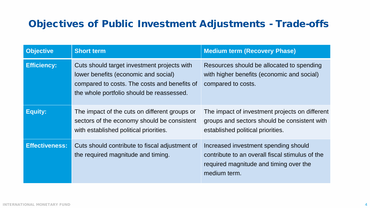#### Objectives of Public Investment Adjustments - Trade-offs

| <b>Objective</b>      | <b>Short term</b>                                                                                                                                                                | <b>Medium term (Recovery Phase)</b>                                                                                                               |
|-----------------------|----------------------------------------------------------------------------------------------------------------------------------------------------------------------------------|---------------------------------------------------------------------------------------------------------------------------------------------------|
| <b>Efficiency:</b>    | Cuts should target investment projects with<br>lower benefits (economic and social)<br>compared to costs. The costs and benefits of<br>the whole portfolio should be reassessed. | Resources should be allocated to spending<br>with higher benefits (economic and social)<br>compared to costs.                                     |
| <b>Equity:</b>        | The impact of the cuts on different groups or<br>sectors of the economy should be consistent<br>with established political priorities.                                           | The impact of investment projects on different<br>groups and sectors should be consistent with<br>established political priorities.               |
| <b>Effectiveness:</b> | Cuts should contribute to fiscal adjustment of<br>the required magnitude and timing.                                                                                             | Increased investment spending should<br>contribute to an overall fiscal stimulus of the<br>required magnitude and timing over the<br>medium term. |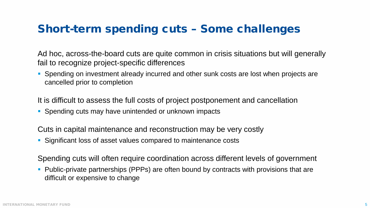### Short-term spending cuts – Some challenges

Ad hoc, across-the-board cuts are quite common in crisis situations but will generally fail to recognize project-specific differences

**Spending on investment already incurred and other sunk costs are lost when projects are** cancelled prior to completion

It is difficult to assess the full costs of project postponement and cancellation

Spending cuts may have unintended or unknown impacts

Cuts in capital maintenance and reconstruction may be very costly

Significant loss of asset values compared to maintenance costs

Spending cuts will often require coordination across different levels of government

**Public-private partnerships (PPPs) are often bound by contracts with provisions that are** difficult or expensive to change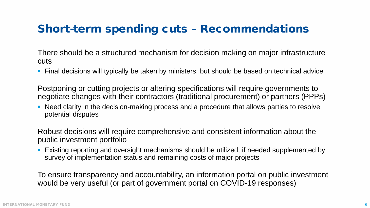### Short-term spending cuts – Recommendations

There should be a structured mechanism for decision making on major infrastructure cuts

Final decisions will typically be taken by ministers, but should be based on technical advice

Postponing or cutting projects or altering specifications will require governments to negotiate changes with their contractors (traditional procurement) or partners (PPPs)

• Need clarity in the decision-making process and a procedure that allows parties to resolve potential disputes

Robust decisions will require comprehensive and consistent information about the public investment portfolio

 Existing reporting and oversight mechanisms should be utilized, if needed supplemented by survey of implementation status and remaining costs of major projects

To ensure transparency and accountability, an information portal on public investment would be very useful (or part of government portal on COVID-19 responses)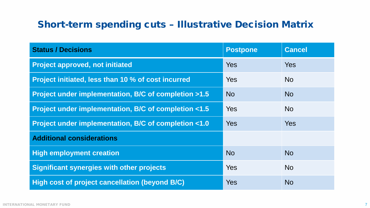#### Short-term spending cuts – Illustrative Decision Matrix

| <b>Status / Decisions</b>                             | <b>Postpone</b> | <b>Cancel</b> |
|-------------------------------------------------------|-----------------|---------------|
| <b>Project approved, not initiated</b>                | Yes             | <b>Yes</b>    |
| Project initiated, less than 10 % of cost incurred    | Yes             | <b>No</b>     |
| Project under implementation, B/C of completion >1.5  | <b>No</b>       | <b>No</b>     |
| Project under implementation, B/C of completion <1.5  | <b>Yes</b>      | <b>No</b>     |
| Project under implementation, B/C of completion <1.0  | <b>Yes</b>      | <b>Yes</b>    |
| <b>Additional considerations</b>                      |                 |               |
| <b>High employment creation</b>                       | <b>No</b>       | <b>No</b>     |
| <b>Significant synergies with other projects</b>      | Yes             | <b>No</b>     |
| <b>High cost of project cancellation (beyond B/C)</b> | Yes             | <b>No</b>     |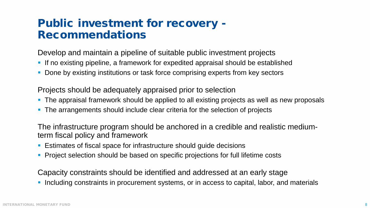### Public investment for recovery - Recommendations

Develop and maintain a pipeline of suitable public investment projects

- **If no existing pipeline, a framework for expedited appraisal should be established**
- **Done by existing institutions or task force comprising experts from key sectors**

Projects should be adequately appraised prior to selection

- **The appraisal framework should be applied to all existing projects as well as new proposals**
- The arrangements should include clear criteria for the selection of projects

The infrastructure program should be anchored in a credible and realistic mediumterm fiscal policy and framework

- Estimates of fiscal space for infrastructure should guide decisions
- **Project selection should be based on specific projections for full lifetime costs**

Capacity constraints should be identified and addressed at an early stage

Including constraints in procurement systems, or in access to capital, labor, and materials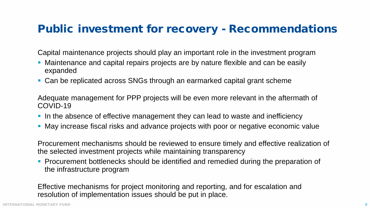#### Public investment for recovery - Recommendations

Capital maintenance projects should play an important role in the investment program

- Maintenance and capital repairs projects are by nature flexible and can be easily expanded
- Can be replicated across SNGs through an earmarked capital grant scheme

Adequate management for PPP projects will be even more relevant in the aftermath of COVID-19

- In the absence of effective management they can lead to waste and inefficiency
- May increase fiscal risks and advance projects with poor or negative economic value

Procurement mechanisms should be reviewed to ensure timely and effective realization of the selected investment projects while maintaining transparency

**Procurement bottlenecks should be identified and remedied during the preparation of** the infrastructure program

Effective mechanisms for project monitoring and reporting, and for escalation and resolution of implementation issues should be put in place.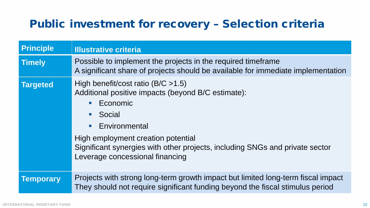## Public investment for recovery – Selection criteria

| <b>Principle</b> | <b>Illustrative criteria</b>                                                                                                                                                                                                                                                                                                 |
|------------------|------------------------------------------------------------------------------------------------------------------------------------------------------------------------------------------------------------------------------------------------------------------------------------------------------------------------------|
| <b>Timely</b>    | Possible to implement the projects in the required timeframe<br>A significant share of projects should be available for immediate implementation                                                                                                                                                                             |
| <b>Targeted</b>  | High benefit/cost ratio ( $B/C > 1.5$ )<br>Additional positive impacts (beyond B/C estimate):<br>Economic<br>Social<br>Environmental<br>$\mathcal{L}_{\mathcal{A}}$<br>High employment creation potential<br>Significant synergies with other projects, including SNGs and private sector<br>Leverage concessional financing |
| <b>Temporary</b> | Projects with strong long-term growth impact but limited long-term fiscal impact<br>They should not require significant funding beyond the fiscal stimulus period                                                                                                                                                            |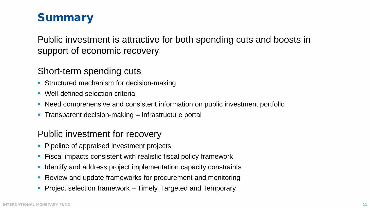## **Summary**

Public investment is attractive for both spending cuts and boosts in support of economic recovery

#### Short-term spending cuts

- **Structured mechanism for decision-making**
- **Well-defined selection criteria**
- Need comprehensive and consistent information on public investment portfolio
- **Transparent decision-making Infrastructure portal**

#### Public investment for recovery

- Pipeline of appraised investment projects
- Fiscal impacts consistent with realistic fiscal policy framework
- I Identify and address project implementation capacity constraints
- Review and update frameworks for procurement and monitoring
- **Project selection framework Timely, Targeted and Temporary**